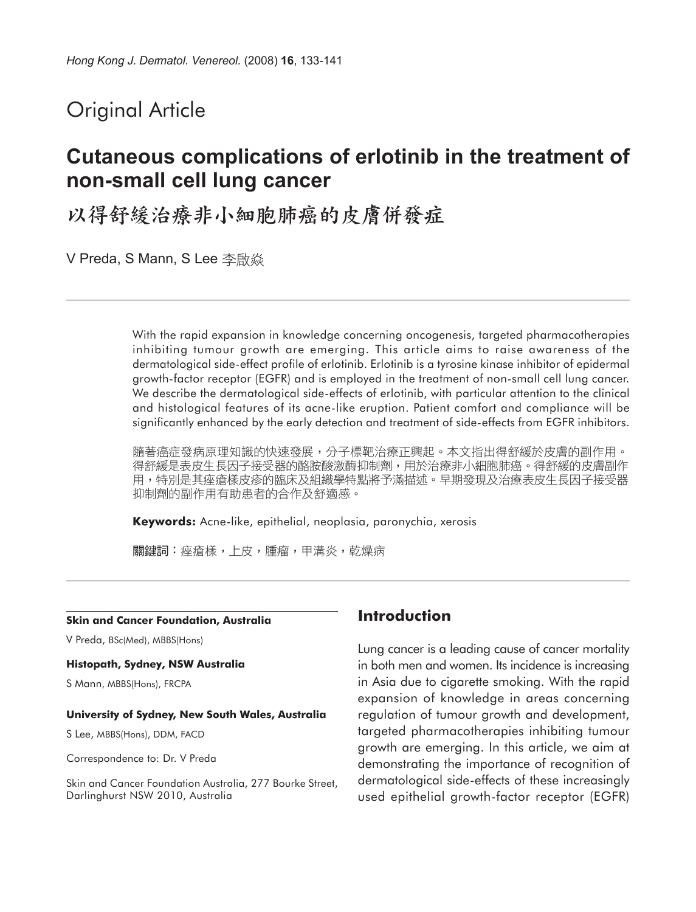# Original Article

# **Cutaneous complications of erlotinib in the treatment of non-small cell lung cancer**

以得舒緩治療非小細胞肺癌的皮膚併發症

V Preda, S Mann, S Lee 李啟焱

With the rapid expansion in knowledge concerning oncogenesis, targeted pharmacotherapies inhibiting tumour growth are emerging. This article aims to raise awareness of the dermatological side-effect profile of erlotinib. Erlotinib is a tyrosine kinase inhibitor of epidermal growth-factor receptor (EGFR) and is employed in the treatment of non-small cell lung cancer. We describe the dermatological side-effects of erlotinib, with particular attention to the clinical and histological features of its acne-like eruption. Patient comfort and compliance will be significantly enhanced by the early detection and treatment of side-effects from EGFR inhibitors.

隨著癌症發病原理知識的快速發展,分子標靶治療正興起。本文指出得舒緩於皮膚的副作用。 得舒緩是表皮生長因子接受器的酪胺酸激酶抑制劑,用於治療非小細胞肺癌。得舒緩的皮膚副作 用,特別是其痤瘡樣皮疹的臨床及組織學特點將予滿描述。早期發現及治療表皮生長因子接受器 抑制劑的副作用有助患者的合作及舒適感。

**Keywords:** Acne-like, epithelial, neoplasia, paronychia, xerosis

關鍵詞:痤瘡樣,上皮,腫瘤,甲溝炎,乾燥病

#### **Skin and Cancer Foundation, Australia**

V Preda, BSc(Med), MBBS(Hons)

#### **Histopath, Sydney, NSW Australia**

S Mann, MBBS(Hons), FRCPA

#### **University of Sydney, New South Wales, Australia**

S Lee, MBBS(Hons), DDM, FACD

Correspondence to: Dr. V Preda

Skin and Cancer Foundation Australia, 277 Bourke Street, Darlinghurst NSW 2010, Australia

### **Introduction**

Lung cancer is a leading cause of cancer mortality in both men and women. Its incidence is increasing in Asia due to cigarette smoking. With the rapid expansion of knowledge in areas concerning regulation of tumour growth and development, targeted pharmacotherapies inhibiting tumour growth are emerging. In this article, we aim at demonstrating the importance of recognition of dermatological side-effects of these increasingly used epithelial growth-factor receptor (EGFR)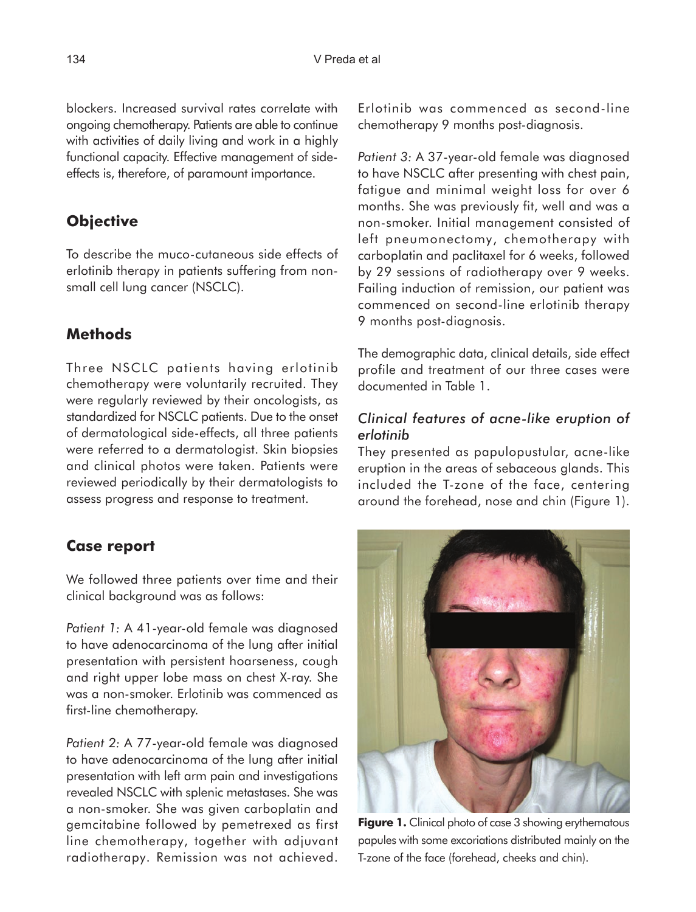blockers. Increased survival rates correlate with ongoing chemotherapy. Patients are able to continue with activities of daily living and work in a highly functional capacity. Effective management of sideeffects is, therefore, of paramount importance.

# **Objective**

To describe the muco-cutaneous side effects of erlotinib therapy in patients suffering from nonsmall cell lung cancer (NSCLC).

# **Methods**

Three NSCLC patients having erlotinib chemotherapy were voluntarily recruited. They were regularly reviewed by their oncologists, as standardized for NSCLC patients. Due to the onset of dermatological side-effects, all three patients were referred to a dermatologist. Skin biopsies and clinical photos were taken. Patients were reviewed periodically by their dermatologists to assess progress and response to treatment.

## **Case report**

We followed three patients over time and their clinical background was as follows:

*Patient 1:* A 41-year-old female was diagnosed to have adenocarcinoma of the lung after initial presentation with persistent hoarseness, cough and right upper lobe mass on chest X-ray. She was a non-smoker. Erlotinib was commenced as first-line chemotherapy.

*Patient 2:* A 77-year-old female was diagnosed to have adenocarcinoma of the lung after initial presentation with left arm pain and investigations revealed NSCLC with splenic metastases. She was a non-smoker. She was given carboplatin and gemcitabine followed by pemetrexed as first line chemotherapy, together with adjuvant radiotherapy. Remission was not achieved.

Erlotinib was commenced as second-line chemotherapy 9 months post-diagnosis.

*Patient 3:* A 37-year-old female was diagnosed to have NSCLC after presenting with chest pain, fatigue and minimal weight loss for over 6 months. She was previously fit, well and was a non-smoker. Initial management consisted of left pneumonectomy, chemotherapy with carboplatin and paclitaxel for 6 weeks, followed by 29 sessions of radiotherapy over 9 weeks. Failing induction of remission, our patient was commenced on second-line erlotinib therapy 9 months post-diagnosis.

The demographic data, clinical details, side effect profile and treatment of our three cases were documented in Table 1.

### *Clinical features of acne-like eruption of erlotinib*

They presented as papulopustular, acne-like eruption in the areas of sebaceous glands. This included the T-zone of the face, centering around the forehead, nose and chin (Figure 1).



**Figure 1.** Clinical photo of case 3 showing erythematous papules with some excoriations distributed mainly on the T-zone of the face (forehead, cheeks and chin).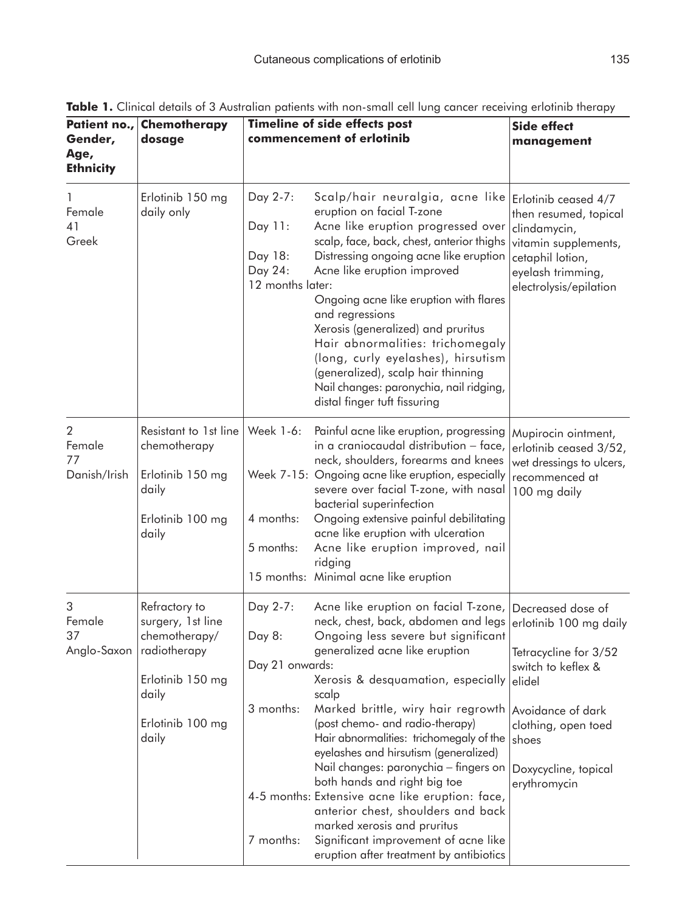| Patient no.,<br>Gender,<br>Age,<br><b>Ethnicity</b> | Chemotherapy<br>dosage                                                                                                                      |                                                                 | <b>Timeline of side effects post</b><br>commencement of erlotinib                                                                                                                                                                                                                                                                                                                                                                                                                                                                                                                                                                                    | <b>Side effect</b><br>management                                                                                                                                                                  |
|-----------------------------------------------------|---------------------------------------------------------------------------------------------------------------------------------------------|-----------------------------------------------------------------|------------------------------------------------------------------------------------------------------------------------------------------------------------------------------------------------------------------------------------------------------------------------------------------------------------------------------------------------------------------------------------------------------------------------------------------------------------------------------------------------------------------------------------------------------------------------------------------------------------------------------------------------------|---------------------------------------------------------------------------------------------------------------------------------------------------------------------------------------------------|
| Female<br>41<br>Greek                               | Erlotinib 150 mg<br>daily only                                                                                                              | Day 2-7:<br>Day 11:<br>Day 18:<br>Day 24:<br>12 months later:   | Scalp/hair neuralgia, acne like<br>eruption on facial T-zone<br>Acne like eruption progressed over<br>scalp, face, back, chest, anterior thighs<br>Distressing ongoing acne like eruption<br>Acne like eruption improved<br>Ongoing acne like eruption with flares<br>and regressions<br>Xerosis (generalized) and pruritus<br>Hair abnormalities: trichomegaly<br>(long, curly eyelashes), hirsutism<br>(generalized), scalp hair thinning<br>Nail changes: paronychia, nail ridging,<br>distal finger tuft fissuring                                                                                                                               | Erlotinib ceased 4/7<br>then resumed, topical<br>clindamycin,<br>vitamin supplements,<br>cetaphil lotion,<br>eyelash trimming,<br>electrolysis/epilation                                          |
| 2<br>Female<br>77<br>Danish/Irish                   | Resistant to 1st line<br>chemotherapy<br>Erlotinib 150 mg<br>daily<br>Erlotinib 100 mg<br>daily                                             | Week 1-6:<br>4 months:<br>5 months:                             | Painful acne like eruption, progressing<br>in a craniocaudal distribution - face,<br>neck, shoulders, forearms and knees<br>Week 7-15: Ongoing acne like eruption, especially<br>severe over facial T-zone, with nasal<br>bacterial superinfection<br>Ongoing extensive painful debilitating<br>acne like eruption with ulceration<br>Acne like eruption improved, nail<br>ridging<br>15 months: Minimal acne like eruption                                                                                                                                                                                                                          | Mupirocin ointment,<br>erlotinib ceased 3/52,<br>wet dressings to ulcers,<br>recommenced at<br>100 mg daily                                                                                       |
| 3<br>Female<br>37                                   | Refractory to<br>surgery, 1st line<br>chemotherapy/<br>Anglo-Saxon   radiotherapy<br>Erlotinib 150 mg<br>daily<br>Erlotinib 100 mg<br>daily | Day 2-7:<br>Day 8:<br>Day 21 onwards:<br>3 months:<br>7 months: | Acne like eruption on facial T-zone,<br>neck, chest, back, abdomen and legs<br>Ongoing less severe but significant<br>generalized acne like eruption<br>Xerosis & desquamation, especially<br>scalp<br>Marked brittle, wiry hair regrowth<br>(post chemo- and radio-therapy)<br>Hair abnormalities: trichomegaly of the<br>eyelashes and hirsutism (generalized)<br>Nail changes: paronychia - fingers on<br>both hands and right big toe<br>4-5 months: Extensive acne like eruption: face,<br>anterior chest, shoulders and back<br>marked xerosis and pruritus<br>Significant improvement of acne like<br>eruption after treatment by antibiotics | Decreased dose of<br>erlotinib 100 mg daily<br>Tetracycline for 3/52<br>switch to keflex &<br>elidel<br>Avoidance of dark<br>clothing, open toed<br>shoes<br>Doxycycline, topical<br>erythromycin |

Table 1. Clinical details of 3 Australian patients with non-small cell lung cancer receiving erlotinib therapy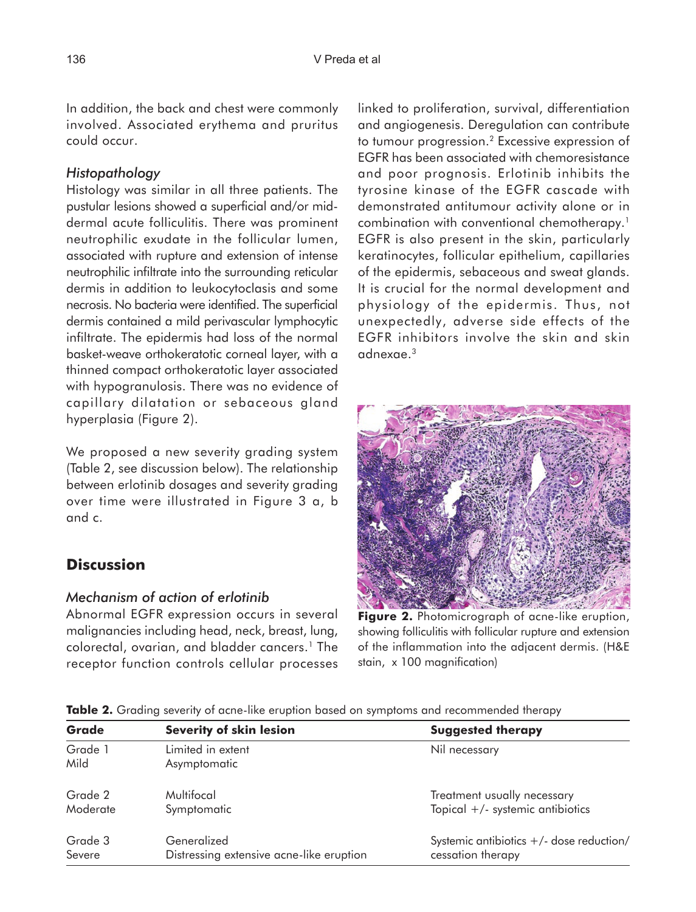In addition, the back and chest were commonly involved. Associated erythema and pruritus could occur.

### *Histopathology*

Histology was similar in all three patients. The pustular lesions showed a superficial and/or middermal acute folliculitis. There was prominent neutrophilic exudate in the follicular lumen, associated with rupture and extension of intense neutrophilic infiltrate into the surrounding reticular dermis in addition to leukocytoclasis and some necrosis. No bacteria were identified. The superficial dermis contained a mild perivascular lymphocytic infiltrate. The epidermis had loss of the normal basket-weave orthokeratotic corneal layer, with a thinned compact orthokeratotic layer associated with hypogranulosis. There was no evidence of capillary dilatation or sebaceous gland hyperplasia (Figure 2).

We proposed a new severity grading system (Table 2, see discussion below). The relationship between erlotinib dosages and severity grading over time were illustrated in Figure 3 a, b and c.

# **Discussion**

### *Mechanism of action of erlotinib*

Abnormal EGFR expression occurs in several malignancies including head, neck, breast, lung, colorectal, ovarian, and bladder cancers.1 The receptor function controls cellular processes

linked to proliferation, survival, differentiation and angiogenesis. Deregulation can contribute to tumour progression.2 Excessive expression of EGFR has been associated with chemoresistance and poor prognosis. Erlotinib inhibits the tyrosine kinase of the EGFR cascade with demonstrated antitumour activity alone or in combination with conventional chemotherapy.1 EGFR is also present in the skin, particularly keratinocytes, follicular epithelium, capillaries of the epidermis, sebaceous and sweat glands. It is crucial for the normal development and physiology of the epidermis. Thus, not unexpectedly, adverse side effects of the EGFR inhibitors involve the skin and skin adnexae.3



**Figure 2.** Photomicrograph of acne-like eruption, showing folliculitis with follicular rupture and extension of the inflammation into the adjacent dermis. (H&E stain, x 100 magnification)

**Table 2.** Grading severity of acne-like eruption based on symptoms and recommended therapy

| Grade           | <b>Severity of skin lesion</b>           | <b>Suggested therapy</b>                   |  |
|-----------------|------------------------------------------|--------------------------------------------|--|
| Grade 1<br>Mild | Limited in extent<br>Asymptomatic        | Nil necessary                              |  |
| Grade 2         | Multifocal                               | Treatment usually necessary                |  |
| Moderate        | Symptomatic                              | Topical $+/-$ systemic antibiotics         |  |
| Grade 3         | Generalized                              | Systemic antibiotics $+/-$ dose reduction/ |  |
| Severe          | Distressing extensive acne-like eruption | cessation therapy                          |  |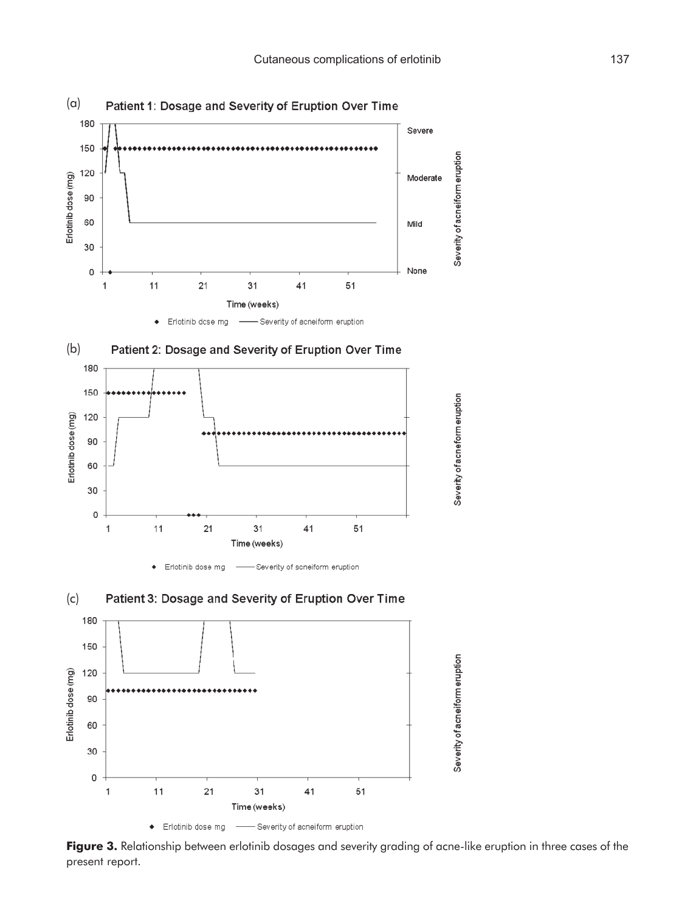

Figure 3. Relationship between erlotinib dosages and severity grading of acne-like eruption in three cases of the present report.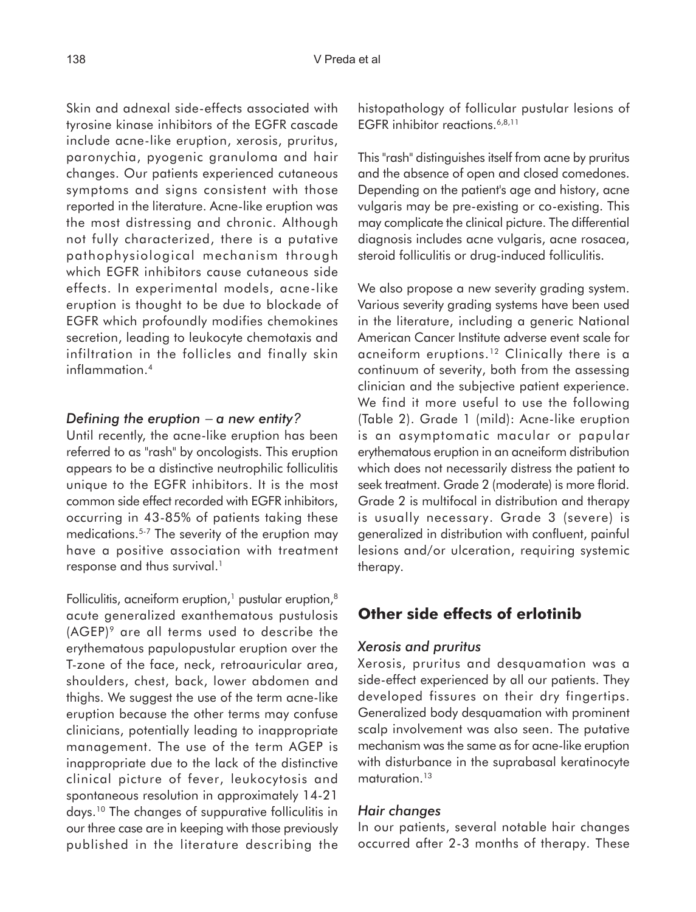Skin and adnexal side-effects associated with tyrosine kinase inhibitors of the EGFR cascade include acne-like eruption, xerosis, pruritus, paronychia, pyogenic granuloma and hair changes. Our patients experienced cutaneous symptoms and signs consistent with those reported in the literature. Acne-like eruption was the most distressing and chronic. Although not fully characterized, there is a putative pathophysiological mechanism through which EGFR inhibitors cause cutaneous side effects. In experimental models, acne-like eruption is thought to be due to blockade of EGFR which profoundly modifies chemokines secretion, leading to leukocyte chemotaxis and infiltration in the follicles and finally skin inflammation.4

#### *Defining the eruption* − *a new entity?*

Until recently, the acne-like eruption has been referred to as "rash" by oncologists. This eruption appears to be a distinctive neutrophilic folliculitis unique to the EGFR inhibitors. It is the most common side effect recorded with EGFR inhibitors, occurring in 43-85% of patients taking these medications.5-7 The severity of the eruption may have a positive association with treatment response and thus survival.<sup>1</sup>

Folliculitis, acneiform eruption, $1$  pustular eruption, $8$ acute generalized exanthematous pustulosis  $(AGEP)^9$  are all terms used to describe the erythematous papulopustular eruption over the T-zone of the face, neck, retroauricular area, shoulders, chest, back, lower abdomen and thighs. We suggest the use of the term acne-like eruption because the other terms may confuse clinicians, potentially leading to inappropriate management. The use of the term AGEP is inappropriate due to the lack of the distinctive clinical picture of fever, leukocytosis and spontaneous resolution in approximately 14-21 days.10 The changes of suppurative folliculitis in our three case are in keeping with those previously published in the literature describing the

histopathology of follicular pustular lesions of EGFR inhibitor reactions.<sup>6,8,11</sup>

This "rash" distinguishes itself from acne by pruritus and the absence of open and closed comedones. Depending on the patient's age and history, acne vulgaris may be pre-existing or co-existing. This may complicate the clinical picture. The differential diagnosis includes acne vulgaris, acne rosacea, steroid folliculitis or drug-induced folliculitis.

We also propose a new severity grading system. Various severity grading systems have been used in the literature, including a generic National American Cancer Institute adverse event scale for acneiform eruptions.<sup>12</sup> Clinically there is a continuum of severity, both from the assessing clinician and the subjective patient experience. We find it more useful to use the following (Table 2). Grade 1 (mild): Acne-like eruption is an asymptomatic macular or papular erythematous eruption in an acneiform distribution which does not necessarily distress the patient to seek treatment. Grade 2 (moderate) is more florid. Grade 2 is multifocal in distribution and therapy is usually necessary. Grade 3 (severe) is generalized in distribution with confluent, painful lesions and/or ulceration, requiring systemic therapy.

### **Other side effects of erlotinib**

#### *Xerosis and pruritus*

Xerosis, pruritus and desquamation was a side-effect experienced by all our patients. They developed fissures on their dry fingertips. Generalized body desquamation with prominent scalp involvement was also seen. The putative mechanism was the same as for acne-like eruption with disturbance in the suprabasal keratinocyte maturation.<sup>13</sup>

#### *Hair changes*

In our patients, several notable hair changes occurred after 2-3 months of therapy. These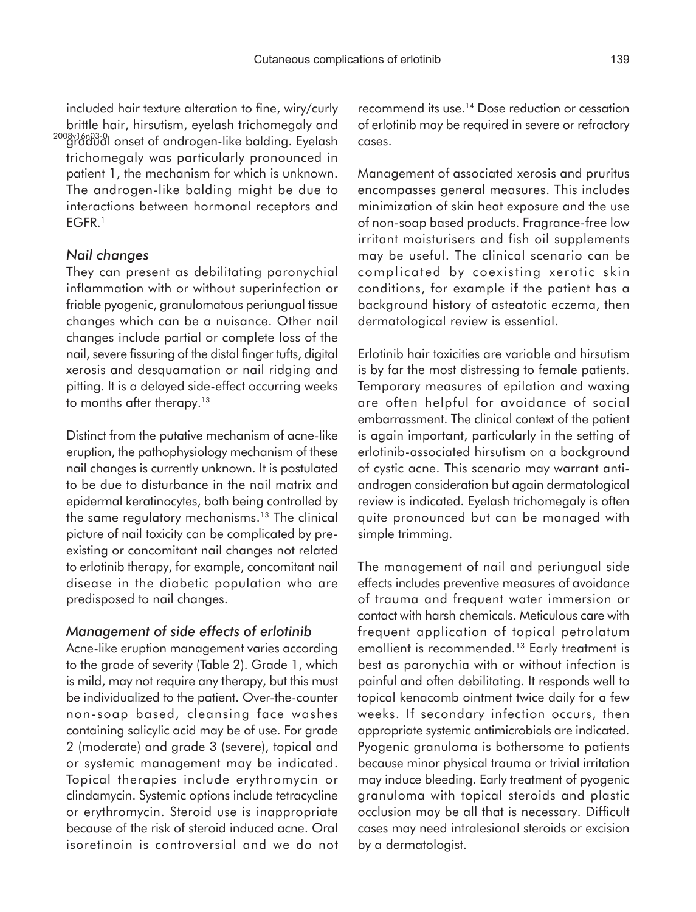included hair texture alteration to fine, wiry/curly brittle hair, hirsutism, eyelash trichomegaly and 2008×16n03-0|<br>gradual onset of androgen-like balding. Eyelash trichomegaly was particularly pronounced in patient 1, the mechanism for which is unknown. The androgen-like balding might be due to interactions between hormonal receptors and EGFR.1

### *Nail changes*

They can present as debilitating paronychial inflammation with or without superinfection or friable pyogenic, granulomatous periungual tissue changes which can be a nuisance. Other nail changes include partial or complete loss of the nail, severe fissuring of the distal finger tufts, digital xerosis and desquamation or nail ridging and pitting. It is a delayed side-effect occurring weeks to months after therapy.<sup>13</sup>

Distinct from the putative mechanism of acne-like eruption, the pathophysiology mechanism of these nail changes is currently unknown. It is postulated to be due to disturbance in the nail matrix and epidermal keratinocytes, both being controlled by the same regulatory mechanisms.13 The clinical picture of nail toxicity can be complicated by preexisting or concomitant nail changes not related to erlotinib therapy, for example, concomitant nail disease in the diabetic population who are predisposed to nail changes.

#### *Management of side effects of erlotinib*

Acne-like eruption management varies according to the grade of severity (Table 2). Grade 1, which is mild, may not require any therapy, but this must be individualized to the patient. Over-the-counter non-soap based, cleansing face washes containing salicylic acid may be of use. For grade 2 (moderate) and grade 3 (severe), topical and or systemic management may be indicated. Topical therapies include erythromycin or clindamycin. Systemic options include tetracycline or erythromycin. Steroid use is inappropriate because of the risk of steroid induced acne. Oral isoretinoin is controversial and we do not recommend its use.14 Dose reduction or cessation of erlotinib may be required in severe or refractory cases.

Management of associated xerosis and pruritus encompasses general measures. This includes minimization of skin heat exposure and the use of non-soap based products. Fragrance-free low irritant moisturisers and fish oil supplements may be useful. The clinical scenario can be complicated by coexisting xerotic skin conditions, for example if the patient has a background history of asteatotic eczema, then dermatological review is essential.

Erlotinib hair toxicities are variable and hirsutism is by far the most distressing to female patients. Temporary measures of epilation and waxing are often helpful for avoidance of social embarrassment. The clinical context of the patient is again important, particularly in the setting of erlotinib-associated hirsutism on a background of cystic acne. This scenario may warrant antiandrogen consideration but again dermatological review is indicated. Eyelash trichomegaly is often quite pronounced but can be managed with simple trimming.

The management of nail and periungual side effects includes preventive measures of avoidance of trauma and frequent water immersion or contact with harsh chemicals. Meticulous care with frequent application of topical petrolatum emollient is recommended.13 Early treatment is best as paronychia with or without infection is painful and often debilitating. It responds well to topical kenacomb ointment twice daily for a few weeks. If secondary infection occurs, then appropriate systemic antimicrobials are indicated. Pyogenic granuloma is bothersome to patients because minor physical trauma or trivial irritation may induce bleeding. Early treatment of pyogenic granuloma with topical steroids and plastic occlusion may be all that is necessary. Difficult cases may need intralesional steroids or excision by a dermatologist.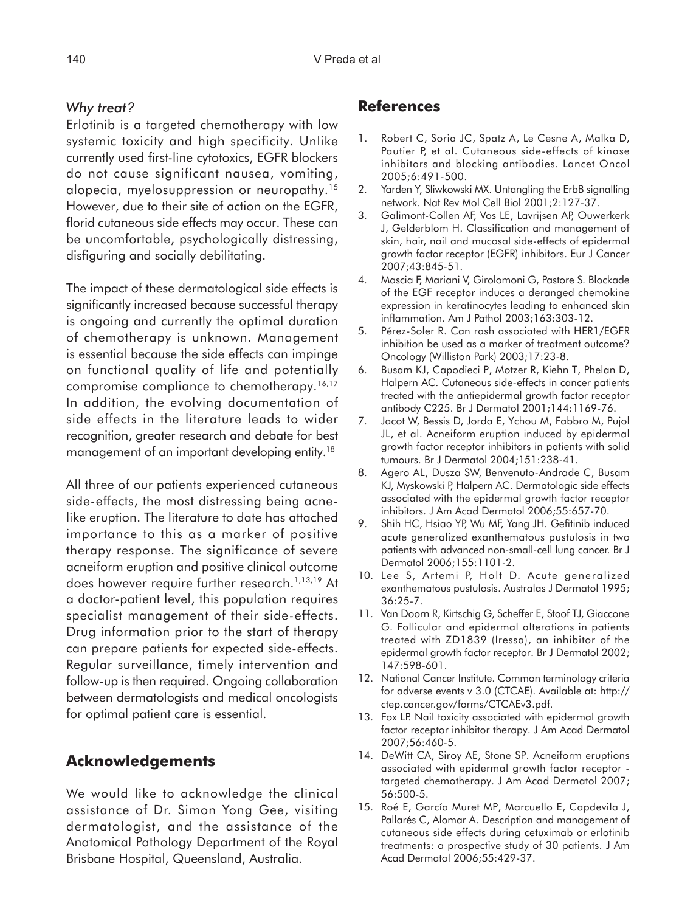### *Why treat?*

Erlotinib is a targeted chemotherapy with low systemic toxicity and high specificity. Unlike currently used first-line cytotoxics, EGFR blockers do not cause significant nausea, vomiting, alopecia, myelosuppression or neuropathy.15 However, due to their site of action on the EGFR, florid cutaneous side effects may occur. These can be uncomfortable, psychologically distressing, disfiguring and socially debilitating.

The impact of these dermatological side effects is significantly increased because successful therapy is ongoing and currently the optimal duration of chemotherapy is unknown. Management is essential because the side effects can impinge on functional quality of life and potentially compromise compliance to chemotherapy.<sup>16,17</sup> In addition, the evolving documentation of side effects in the literature leads to wider recognition, greater research and debate for best management of an important developing entity.18

All three of our patients experienced cutaneous side-effects, the most distressing being acnelike eruption. The literature to date has attached importance to this as a marker of positive therapy response. The significance of severe acneiform eruption and positive clinical outcome does however require further research.<sup>1,13,19</sup> At a doctor-patient level, this population requires specialist management of their side-effects. Drug information prior to the start of therapy can prepare patients for expected side-effects. Regular surveillance, timely intervention and follow-up is then required. Ongoing collaboration between dermatologists and medical oncologists for optimal patient care is essential.

# **Acknowledgements**

We would like to acknowledge the clinical assistance of Dr. Simon Yong Gee, visiting dermatologist, and the assistance of the Anatomical Pathology Department of the Royal Brisbane Hospital, Queensland, Australia.

# **References**

- 1. Robert C, Soria JC, Spatz A, Le Cesne A, Malka D, Pautier P, et al. Cutaneous side-effects of kinase inhibitors and blocking antibodies. Lancet Oncol 2005;6:491-500.
- 2. Yarden Y, Sliwkowski MX. Untangling the ErbB signalling network. Nat Rev Mol Cell Biol 2001;2:127-37.
- 3. Galimont-Collen AF, Vos LE, Lavrijsen AP, Ouwerkerk J, Gelderblom H. Classification and management of skin, hair, nail and mucosal side-effects of epidermal growth factor receptor (EGFR) inhibitors. Eur J Cancer 2007;43:845-51.
- 4. Mascia F, Mariani V, Girolomoni G, Pastore S. Blockade of the EGF receptor induces a deranged chemokine expression in keratinocytes leading to enhanced skin inflammation. Am J Pathol 2003;163:303-12.
- 5. Pérez-Soler R. Can rash associated with HER1/EGFR inhibition be used as a marker of treatment outcome? Oncology (Williston Park) 2003;17:23-8.
- 6. Busam KJ, Capodieci P, Motzer R, Kiehn T, Phelan D, Halpern AC. Cutaneous side-effects in cancer patients treated with the antiepidermal growth factor receptor antibody C225. Br J Dermatol 2001;144:1169-76.
- 7. Jacot W, Bessis D, Jorda E, Ychou M, Fabbro M, Pujol JL, et al. Acneiform eruption induced by epidermal growth factor receptor inhibitors in patients with solid tumours. Br J Dermatol 2004;151:238-41.
- 8. Agero AL, Dusza SW, Benvenuto-Andrade C, Busam KJ, Myskowski P, Halpern AC. Dermatologic side effects associated with the epidermal growth factor receptor inhibitors. J Am Acad Dermatol 2006;55:657-70.
- 9. Shih HC, Hsiao YP, Wu MF, Yang JH. Gefitinib induced acute generalized exanthematous pustulosis in two patients with advanced non-small-cell lung cancer. Br J Dermatol 2006;155:1101-2.
- 10. Lee S, Artemi P, Holt D. Acute generalized exanthematous pustulosis. Australas J Dermatol 1995; 36:25-7.
- 11. Van Doorn R, Kirtschig G, Scheffer E, Stoof TJ, Giaccone G. Follicular and epidermal alterations in patients treated with ZD1839 (Iressa), an inhibitor of the epidermal growth factor receptor. Br J Dermatol 2002; 147:598-601.
- 12. National Cancer Institute. Common terminology criteria for adverse events v 3.0 (CTCAE). Available at: http:// ctep.cancer.gov/forms/CTCAEv3.pdf.
- 13. Fox LP. Nail toxicity associated with epidermal growth factor receptor inhibitor therapy. J Am Acad Dermatol 2007;56:460-5.
- 14. DeWitt CA, Siroy AE, Stone SP. Acneiform eruptions associated with epidermal growth factor receptor targeted chemotherapy. J Am Acad Dermatol 2007; 56:500-5.
- 15. Roé E, García Muret MP, Marcuello E, Capdevila J, Pallarés C, Alomar A. Description and management of cutaneous side effects during cetuximab or erlotinib treatments: a prospective study of 30 patients. J Am Acad Dermatol 2006;55:429-37.